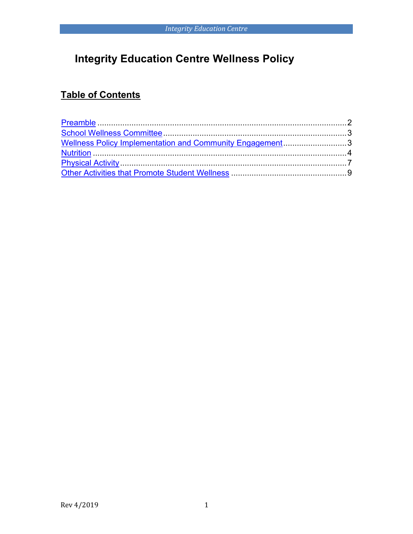# **Integrity Education Centre Wellness Policy**

## **Table of Contents**

| Wellness Policy Implementation and Community Engagement3 |  |
|----------------------------------------------------------|--|
|                                                          |  |
|                                                          |  |
|                                                          |  |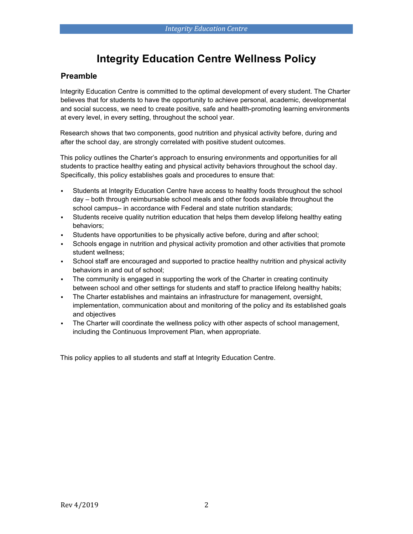## **Integrity Education Centre Wellness Policy**

### <span id="page-1-0"></span>**Preamble**

Integrity Education Centre is committed to the optimal development of every student. The Charter believes that for students to have the opportunity to achieve personal, academic, developmental and social success, we need to create positive, safe and health-promoting learning environments at every level, in every setting, throughout the school year.

Research shows that two components, good nutrition and physical activity before, during and after the school day, are strongly correlated with positive student outcomes.

This policy outlines the Charter's approach to ensuring environments and opportunities for all students to practice healthy eating and physical activity behaviors throughout the school day. Specifically, this policy establishes goals and procedures to ensure that:

- Students at Integrity Education Centre have access to healthy foods throughout the school day ‒ both through reimbursable school meals and other foods available throughout the school campus- in accordance with Federal and state nutrition standards;
- Students receive quality nutrition education that helps them develop lifelong healthy eating behaviors;
- Students have opportunities to be physically active before, during and after school;
- Schools engage in nutrition and physical activity promotion and other activities that promote student wellness;
- School staff are encouraged and supported to practice healthy nutrition and physical activity behaviors in and out of school;
- The community is engaged in supporting the work of the Charter in creating continuity between school and other settings for students and staff to practice lifelong healthy habits;
- The Charter establishes and maintains an infrastructure for management, oversight, implementation, communication about and monitoring of the policy and its established goals and objectives
- The Charter will coordinate the wellness policy with other aspects of school management, including the Continuous Improvement Plan, when appropriate.

This policy applies to all students and staff at Integrity Education Centre.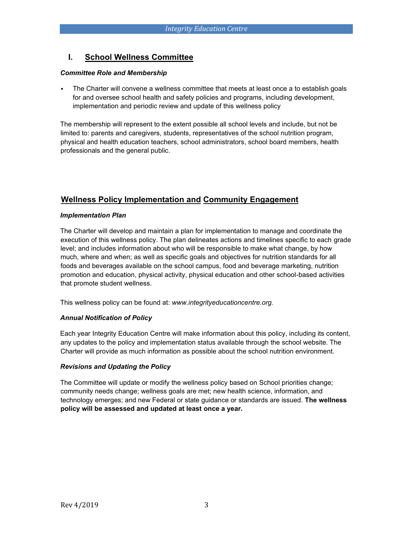## <span id="page-2-0"></span>**I. School Wellness Committee**

#### *Committee Role and Membership*

The Charter will convene a wellness committee that meets at least once a to establish goals for and oversee school health and safety policies and programs, including development, implementation and periodic review and update of this wellness policy

The membership will represent to the extent possible all school levels and include, but not be limited to: parents and caregivers, students, representatives of the school nutrition program, physical and health education teachers, school administrators, school board members, health professionals and the general public.

## <span id="page-2-1"></span>**Wellness Policy Implementation and Community Engagement**

#### *Implementation Plan*

The Charter will develop and maintain a plan for implementation to manage and coordinate the execution of this wellness policy. The plan delineates actions and timelines specific to each grade level; and includes information about who will be responsible to make what change, by how much, where and when; as well as specific goals and objectives for nutrition standards for all foods and beverages available on the school campus, food and beverage marketing, nutrition promotion and education, physical activity, physical education and other school-based activities that promote student wellness.

This wellness policy can be found at: *www.integrityeducationcentre.org.*

#### *Annual Notification of Policy*

Each year Integrity Education Centre will make information about this policy, including its content, any updates to the policy and implementation status available through the school website. The Charter will provide as much information as possible about the school nutrition environment.

#### *Revisions and Updating the Policy*

The Committee will update or modify the wellness policy based on School priorities change; community needs change; wellness goals are met; new health science, information, and technology emerges; and new Federal or state guidance or standards are issued. **The wellness policy will be assessed and updated at least once a year.**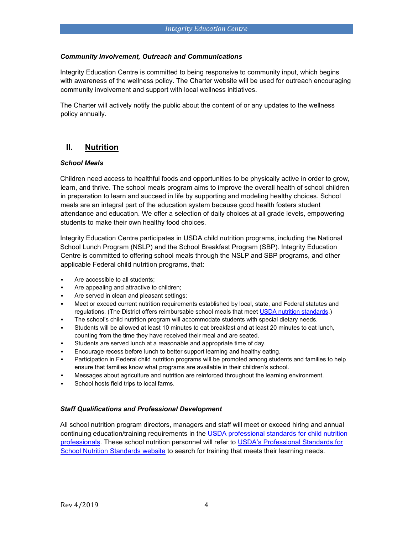#### *Community Involvement, Outreach and Communications*

Integrity Education Centre is committed to being responsive to community input, which begins with awareness of the wellness policy. The Charter website will be used for outreach encouraging community involvement and support with local wellness initiatives.

The Charter will actively notify the public about the content of or any updates to the wellness policy annually.

## <span id="page-3-0"></span>**II. Nutrition**

#### *School Meals*

Children need access to healthful foods and opportunities to be physically active in order to grow, learn, and thrive. The school meals program aims to improve the overall health of school children in preparation to learn and succeed in life by supporting and modeling healthy choices. School meals are an integral part of the education system because good health fosters student attendance and education. We offer a selection of daily choices at all grade levels, empowering students to make their own healthy food choices.

Integrity Education Centre participates in USDA child nutrition programs, including the National School Lunch Program (NSLP) and the School Breakfast Program (SBP). Integrity Education Centre is committed to offering school meals through the NSLP and SBP programs, and other applicable Federal child nutrition programs, that:

- Are accessible to all students:
- **Are appealing and attractive to children;**
- Are served in clean and pleasant settings;
- Meet or exceed current nutrition requirements established by local, state, and Federal statutes and regulations. (The District offers reimbursable school meals that meet [USDA nutrition standards.\)](http://www.fns.usda.gov/school-meals/nutrition-standards-school-meals)
- The school's child nutrition program will accommodate students with special dietary needs.
- Students will be allowed at least 10 minutes to eat breakfast and at least 20 minutes to eat lunch, counting from the time they have received their meal and are seated.
- Students are served lunch at a reasonable and appropriate time of day.
- Encourage recess before lunch to better support learning and healthy eating.
- Participation in Federal child nutrition programs will be promoted among students and families to help ensure that families know what programs are available in their children's school.
- Messages about agriculture and nutrition are reinforced throughout the learning environment.
- School hosts field trips to local farms.

#### *Staff Qualifications and Professional Development*

All school nutrition program directors, managers and staff will meet or exceed hiring and annual continuing education/training requirements in the [USDA professional standards for child nutrition](http://www.fns.usda.gov/sites/default/files/CN2014-0130.pdf) [professionals.](http://www.fns.usda.gov/sites/default/files/CN2014-0130.pdf) These school nutrition personnel will refer to [USDA's Professional Standa](http://professionalstandards.nal.usda.gov/)rds fo[r](http://professionalstandards.nal.usda.gov/) [School Nutrition Standards website](http://professionalstandards.nal.usda.gov/) to search for training that meets their learning needs.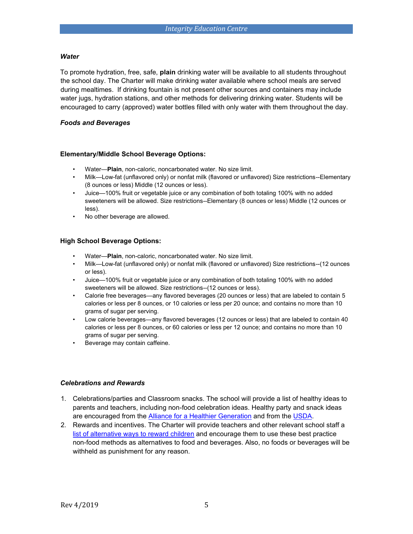#### *Water*

To promote hydration, free, safe, **plain** drinking water will be available to all students throughout the school day. The Charter will make drinking water available where school meals are served during mealtimes. If drinking fountain is not present other sources and containers may include water jugs, hydration stations, and other methods for delivering drinking water. Students will be encouraged to carry (approved) water bottles filled with only water with them throughout the day.

#### *Foods and Beverages*

#### **Elementary/Middle School Beverage Options:**

- Water—**Plain**, non-caloric, noncarbonated water. No size limit.
- Milk—Low-fat (unflavored only) or nonfat milk (flavored or unflavored) Size restrictions--Elementary (8 ounces or less) Middle (12 ounces or less).
- Juice—100% fruit or vegetable juice or any combination of both totaling 100% with no added sweeteners will be allowed. Size restrictions--Elementary (8 ounces or less) Middle (12 ounces or less).
- No other beverage are allowed.

#### **High School Beverage Options:**

- Water—**Plain**, non-caloric, noncarbonated water. No size limit.
- Milk—Low-fat (unflavored only) or nonfat milk (flavored or unflavored) Size restrictions--(12 ounces or less).
- Juice—100% fruit or vegetable juice or any combination of both totaling 100% with no added sweeteners will be allowed. Size restrictions--(12 ounces or less).
- Calorie free beverages—any flavored beverages (20 ounces or less) that are labeled to contain 5 calories or less per 8 ounces, or 10 calories or less per 20 ounce; and contains no more than 10 grams of sugar per serving.
- Low calorie beverages—any flavored beverages (12 ounces or less) that are labeled to contain 40 calories or less per 8 ounces, or 60 calories or less per 12 ounce; and contains no more than 10 grams of sugar per serving.
- Beverage may contain caffeine.

#### *Celebrations and Rewards*

- 1. Celebrations/parties and Classroom snacks. The school will provide a list of healthy ideas to parents and teachers, including non-food celebration ideas. Healthy party and snack ideas are encouraged from the [Alliance for a Healthier Generation](https://www.healthiergeneration.org/take_action/schools/snacks_and_beverages/celebrations/) [a](https://www.healthiergeneration.org/take_action/schools/snacks_and_beverages/celebrations/)nd from the [USDA.](http://healthymeals.nal.usda.gov/local-wellness-policy-resources/wellness-policy-elements/healthy-celebrations)
- 2. Rewards and incentives. The Charter will provide teachers and other relevant school staff a [list of alternative ways to reward children](https://www.healthiergeneration.org/take_action/schools/snacks_and_beverages/non-food_rewards/) [a](https://www.healthiergeneration.org/take_action/schools/snacks_and_beverages/non-food_rewards/)nd encourage them to use these best practice non-food methods as alternatives to food and beverages. Also, no foods or beverages will be withheld as punishment for any reason.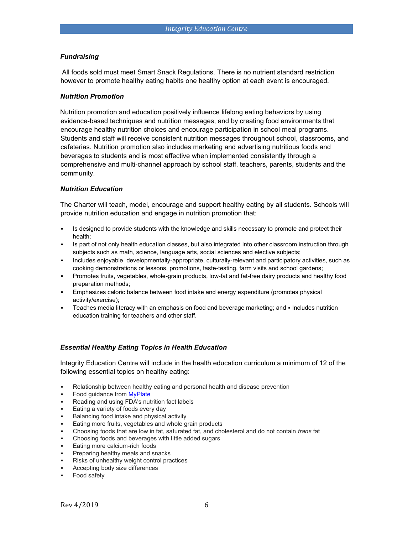#### *Fundraising*

All foods sold must meet Smart Snack Regulations. There is no nutrient standard restriction however to promote healthy eating habits one healthy option at each event is encouraged.

#### *Nutrition Promotion*

Nutrition promotion and education positively influence lifelong eating behaviors by using evidence-based techniques and nutrition messages, and by creating food environments that encourage healthy nutrition choices and encourage participation in school meal programs. Students and staff will receive consistent nutrition messages throughout school, classrooms, and cafeterias. Nutrition promotion also includes marketing and advertising nutritious foods and beverages to students and is most effective when implemented consistently through a comprehensive and multi-channel approach by school staff, teachers, parents, students and the community.

#### *Nutrition Education*

The Charter will teach, model, encourage and support healthy eating by all students. Schools will provide nutrition education and engage in nutrition promotion that:

- **•** Is designed to provide students with the knowledge and skills necessary to promote and protect their health;
- Is part of not only health education classes, but also integrated into other classroom instruction through subjects such as math, science, language arts, social sciences and elective subjects;
- Includes enjoyable, developmentally-appropriate, culturally-relevant and participatory activities, such as cooking demonstrations or lessons, promotions, taste-testing, farm visits and school gardens;
- Promotes fruits, vegetables, whole-grain products, low-fat and fat-free dairy products and healthy food preparation methods;
- **Emphasizes caloric balance between food intake and energy expenditure (promotes physical** activity/exercise);
- Teaches media literacy with an emphasis on food and beverage marketing; and · Includes nutrition education training for teachers and other staff.

#### *Essential Healthy Eating Topics in Health Education*

Integrity Education Centre will include in the health education curriculum a minimum of 12 of the following essential topics on healthy eating:

- Relationship between healthy eating and personal health and disease prevention
- Food guidance from **MyPlate**
- Reading and using FDA's nutrition fact labels
- Eating a variety of foods every day
- Balancing food intake and physical activity
- Eating more fruits, vegetables and whole grain products
- Choosing foods that are low in fat, saturated fat, and cholesterol and do not contain *trans* fat
- Choosing foods and beverages with little added sugars
- Eating more calcium-rich foods
- Preparing healthy meals and snacks
- Risks of unhealthy weight control practices
- Accepting body size differences
- Food safety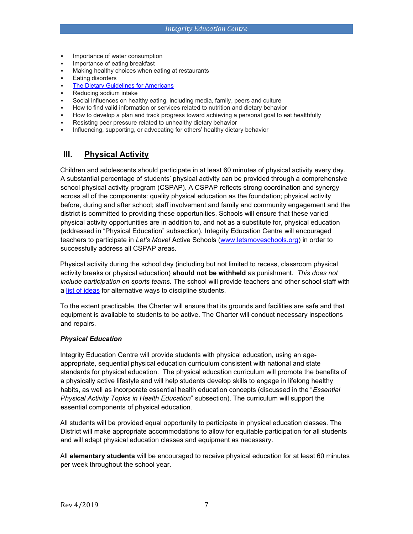- Importance of water consumption
- Importance of eating breakfast
- Making healthy choices when eating at restaurants
- **Eating disorders**
- [The Dietary Guidelines for Americans](https://www.choosemyplate.gov/dietary-guidelines)
- Reducing sodium intake
- Social influences on healthy eating, including media, family, peers and culture
- How to find valid information or services related to nutrition and dietary behavior
- How to develop a plan and track progress toward achieving a personal goal to eat healthfully
- Resisting peer pressure related to unhealthy dietary behavior
- Influencing, supporting, or advocating for others' healthy dietary behavior

### <span id="page-6-0"></span>**III. Physical Activity**

Children and adolescents should participate in at least 60 minutes of physical activity every day. A substantial percentage of students' physical activity can be provided through a comprehensive school physical activity program (CSPAP). A CSPAP reflects strong coordination and synergy across all of the components: quality physical education as the foundation; physical activity before, during and after school; staff involvement and family and community engagement and the district is committed to providing these opportunities. Schools will ensure that these varied physical activity opportunities are in addition to, and not as a substitute for, physical education (addressed in "Physical Education" subsection). Integrity Education Centre will encouraged teachers to participate in *Let's Move!* Active Schools [\(www.letsmoveschools.org\)](http://www.letsmoveschools.org/) in order to successfully address all CSPAP areas.

Physical activity during the school day (including but not limited to recess, classroom physical activity breaks or physical education) **should not be withheld** as punishment. *This does not include participation on sports teams.* The school will provide teachers and other school staff with a [list of ideas](http://cspinet.org/new/pdf/constructive_classroom_rewards.pdf) [f](http://cspinet.org/new/pdf/constructive_classroom_rewards.pdf)or alternative ways to discipline students.

To the extent practicable, the Charter will ensure that its grounds and facilities are safe and that equipment is available to students to be active. The Charter will conduct necessary inspections and repairs.

#### *Physical Education*

Integrity Education Centre will provide students with physical education, using an ageappropriate, sequential physical education curriculum consistent with national and state standards for physical education. The physical education curriculum will promote the benefits of a physically active lifestyle and will help students develop skills to engage in lifelong healthy habits, as well as incorporate essential health education concepts (discussed in the "*Essential Physical Activity Topics in Health Education*" subsection). The curriculum will support the essential components of physical education.

All students will be provided equal opportunity to participate in physical education classes. The District will make appropriate accommodations to allow for equitable participation for all students and will adapt physical education classes and equipment as necessary.

All **elementary students** will be encouraged to receive physical education for at least 60 minutes per week throughout the school year.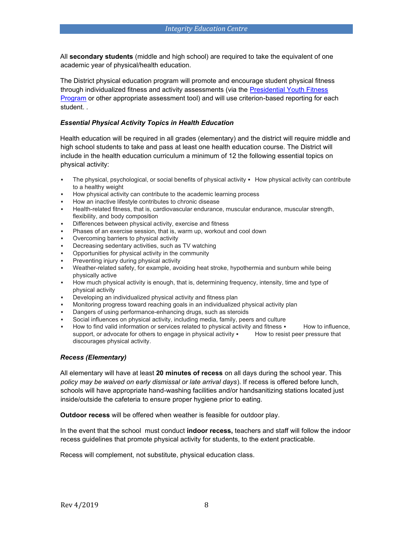All **secondary students** (middle and high school) are required to take the equivalent of one academic year of physical/health education.

The District physical education program will promote and encourage student physical fitness through individualized fitness and activity assessments (via the [Presidential Youth Fitness](http://www.pyfp.org/) [Program](http://www.pyfp.org/) [o](http://www.pyfp.org/)r other appropriate assessment tool) and will use criterion-based reporting for each student. *.* 

#### *Essential Physical Activity Topics in Health Education*

Health education will be required in all grades (elementary) and the district will require middle and high school students to take and pass at least one health education course. The District will include in the health education curriculum a minimum of 12 the following essential topics on physical activity:

- The physical, psychological, or social benefits of physical activity How physical activity can contribute to a healthy weight
- How physical activity can contribute to the academic learning process
- How an inactive lifestyle contributes to chronic disease
- Health-related fitness, that is, cardiovascular endurance, muscular endurance, muscular strength, flexibility, and body composition
- **EXECT** Differences between physical activity, exercise and fitness
- Phases of an exercise session, that is, warm up, workout and cool down
- Overcoming barriers to physical activity
- Decreasing sedentary activities, such as TV watching
- Opportunities for physical activity in the community
- Preventing injury during physical activity
- Weather-related safety, for example, avoiding heat stroke, hypothermia and sunburn while being physically active
- How much physical activity is enough, that is, determining frequency, intensity, time and type of physical activity
- Developing an individualized physical activity and fitness plan
- Monitoring progress toward reaching goals in an individualized physical activity plan
- Dangers of using performance-enhancing drugs, such as steroids
- Social influences on physical activity, including media, family, peers and culture
- How to find valid information or services related to physical activity and fitness  $\cdot$  How to influence, support, or advocate for others to engage in physical activity  $\blacksquare$  How to resist peer pressure that discourages physical activity.

#### *Recess (Elementary)*

All elementary will have at least **20 minutes of recess** on all days during the school year. This *policy may be waived on early dismissal or late arrival days*). If recess is offered before lunch, schools will have appropriate hand-washing facilities and/or handsanitizing stations located just inside/outside the cafeteria to ensure proper hygiene prior to eating.

**Outdoor recess** will be offered when weather is feasible for outdoor play.

In the event that the school must conduct **indoor recess,** teachers and staff will follow the indoor recess guidelines that promote physical activity for students, to the extent practicable.

Recess will complement, not substitute, physical education class.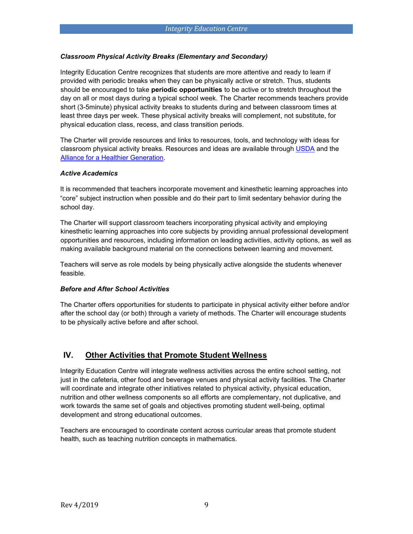#### *Classroom Physical Activity Breaks (Elementary and Secondary)*

Integrity Education Centre recognizes that students are more attentive and ready to learn if provided with periodic breaks when they can be physically active or stretch. Thus, students should be encouraged to take **periodic opportunities** to be active or to stretch throughout the day on all or most days during a typical school week. The Charter recommends teachers provide short (3-5minute) physical activity breaks to students during and between classroom times at least three days per week. These physical activity breaks will complement, not substitute, for physical education class, recess, and class transition periods.

The Charter will provide resources and links to resources, tools, and technology with ideas for classroom physical activity breaks. Resources and ideas are available through [USDA](http://healthymeals.nal.usda.gov/resource-library/physical-activity-school-aged-children/activities-and-tools) [a](http://healthymeals.nal.usda.gov/resource-library/physical-activity-school-aged-children/activities-and-tools)nd the [Alliance for a Healthier Generation.](https://www.healthiergeneration.org/take_action/schools/physical_activity/physical_activities/) 

#### *Active Academics*

It is recommended that teachers incorporate movement and kinesthetic learning approaches into "core" subject instruction when possible and do their part to limit sedentary behavior during the school day.

The Charter will support classroom teachers incorporating physical activity and employing kinesthetic learning approaches into core subjects by providing annual professional development opportunities and resources, including information on leading activities, activity options, as well as making available background material on the connections between learning and movement.

Teachers will serve as role models by being physically active alongside the students whenever feasible.

#### *Before and After School Activities*

The Charter offers opportunities for students to participate in physical activity either before and/or after the school day (or both) through a variety of methods. The Charter will encourage students to be physically active before and after school.

## <span id="page-8-0"></span>**IV. Other Activities that Promote Student Wellness**

Integrity Education Centre will integrate wellness activities across the entire school setting, not just in the cafeteria, other food and beverage venues and physical activity facilities. The Charter will coordinate and integrate other initiatives related to physical activity, physical education, nutrition and other wellness components so all efforts are complementary, not duplicative, and work towards the same set of goals and objectives promoting student well-being, optimal development and strong educational outcomes.

Teachers are encouraged to coordinate content across curricular areas that promote student health, such as teaching nutrition concepts in mathematics.